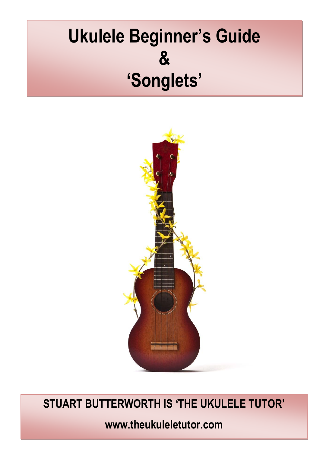# **Ukulele Beginner's Guide & 'Songlets'**



# **STUART BUTTERWORTH IS 'THE UKULELE TUTOR'**

**www.theukuleletutor.com**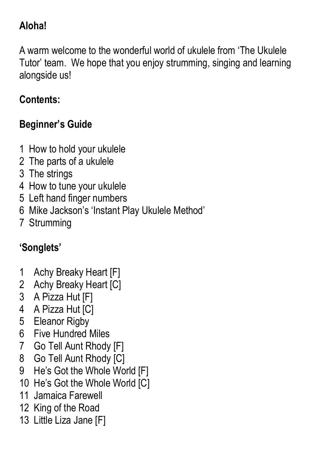# **Aloha!**

A warm welcome to the wonderful world of ukulele from 'The Ukulele Tutor' team. We hope that you enjoy strumming, singing and learning alongside us!

#### **Contents:**

## **Beginner's Guide**

- 1 How to hold your ukulele
- 2 The parts of a ukulele
- 3 The strings
- 4 How to tune your ukulele
- 5 Left hand finger numbers
- 6 Mike Jackson's 'Instant Play Ukulele Method'
- 7 Strumming

## **'Songlets'**

- 1 Achy Breaky Heart [F]
- 2 Achy Breaky Heart [C]
- 3 A Pizza Hut [F]
- 4 A Pizza Hut [C]
- 5 Eleanor Rigby
- 6 Five Hundred Miles
- 7 Go Tell Aunt Rhody [F]
- 8 Go Tell Aunt Rhody [C]
- 9 He's Got the Whole World [F]
- 10 He's Got the Whole World [C]
- 11 Jamaica Farewell
- 12 King of the Road
- 13 Little Liza Jane [F]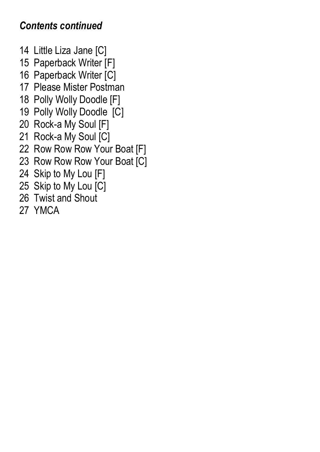## *Contents continued*

- 14 Little Liza Jane [C]
- 15 Paperback Writer [F]
- 16 Paperback Writer [C]
- 17 Please Mister Postman
- 18 Polly Wolly Doodle [F]
- 19 Polly Wolly Doodle [C]
- 20 Rock-a My Soul [F]
- 21 Rock-a My Soul [C]
- 22 Row Row Row Your Boat [F]
- 23 Row Row Row Your Boat [C]
- 24 Skip to My Lou [F]
- 25 Skip to My Lou [C]
- 26 Twist and Shout
- 27 YMCA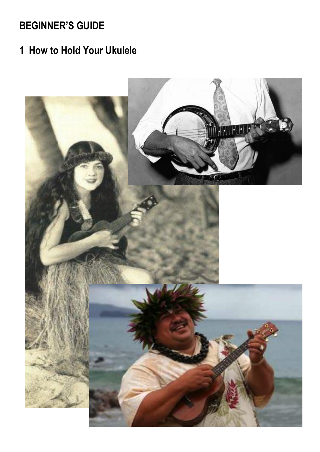## **BEGINNER'S GUIDE**

#### **1 How to Hold Your Ukulele**

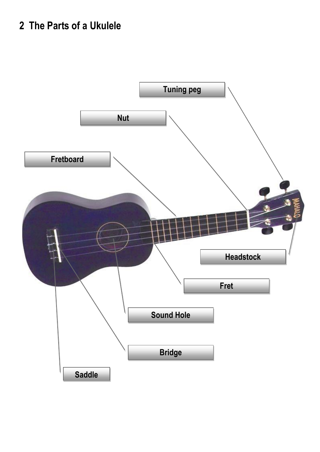#### **2 The Parts of a Ukulele**

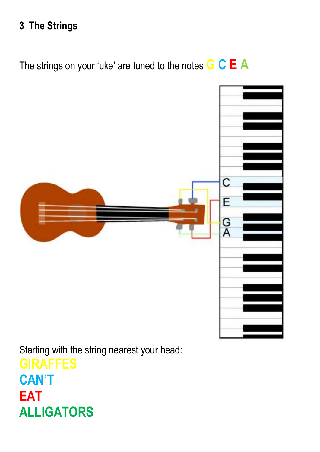## **3 The Strings**

The strings on your 'uke' are tuned to the notes **G C E A**



Starting with the string nearest your head: **GIRAFFES CAN'T EAT ALLIGATORS**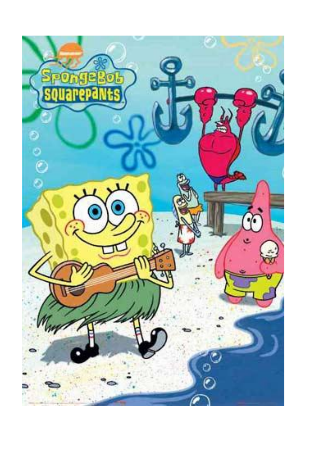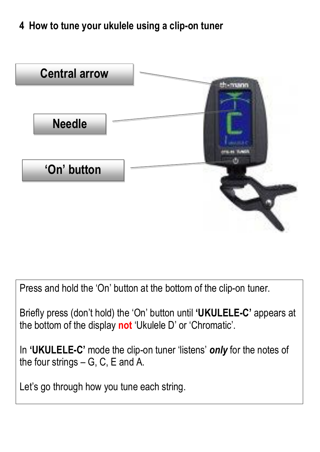#### **4 How to tune your ukulele using a clip-on tuner**



Press and hold the 'On' button at the bottom of the clip-on tuner.

Briefly press (don't hold) the 'On' button until **'UKULELE-C'** appears at the bottom of the display **not** 'Ukulele D' or 'Chromatic'.

In **'UKULELE-C'** mode the clip-on tuner 'listens' *only* for the notes of the four strings – G, C, E and A.

Let's go through how you tune each string.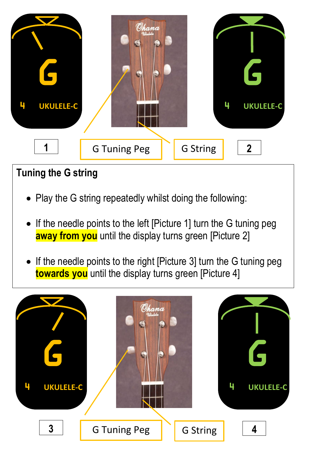

## **Tuning the G string**

- Play the G string repeatedly whilst doing the following:
- If the needle points to the left [Picture 1] turn the G tuning peg **away from you** until the display turns green [Picture 2]
- If the needle points to the right [Picture 3] turn the G tuning peg **towards you** until the display turns green [Picture 4]

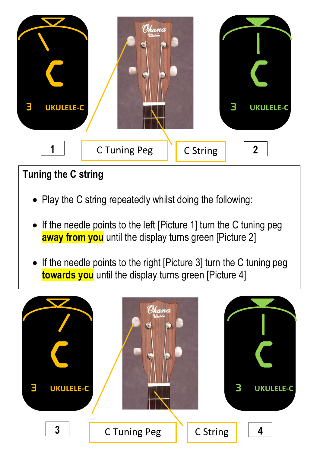

## **Tuning the C string**

- Play the C string repeatedly whilst doing the following:
- If the needle points to the left [Picture 1] turn the C tuning peg **away from you** until the display turns green [Picture 2]
- If the needle points to the right [Picture 3] turn the C tuning peg **towards you** until the display turns green [Picture 4]

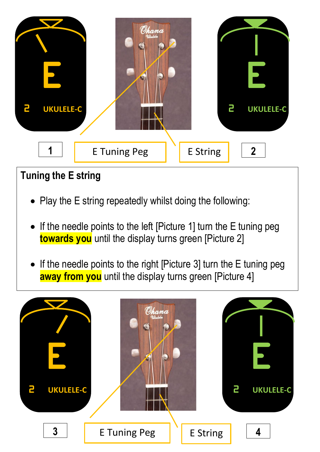

## **Tuning the E string**

- Play the E string repeatedly whilst doing the following:
- If the needle points to the left [Picture 1] turn the E tuning peg **towards you** until the display turns green [Picture 2]
- If the needle points to the right [Picture 3] turn the E tuning peg **away from you** until the display turns green [Picture 4]

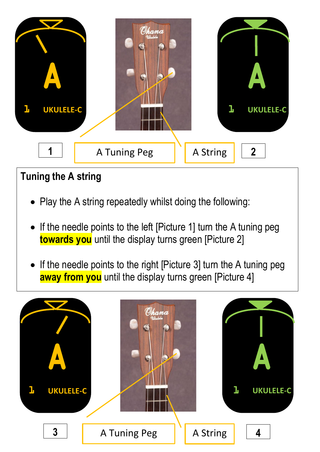

## **Tuning the A string**

- Play the A string repeatedly whilst doing the following:
- If the needle points to the left [Picture 1] turn the A tuning peg **towards you** until the display turns green [Picture 2]
- If the needle points to the right [Picture 3] turn the A tuning peg **away from you** until the display turns green [Picture 4]

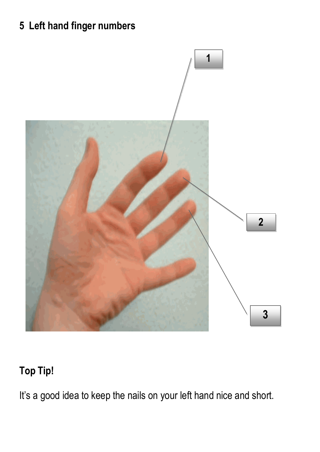## **5 Left hand finger numbers**



## **Top Tip!**

It's a good idea to keep the nails on your left hand nice and short.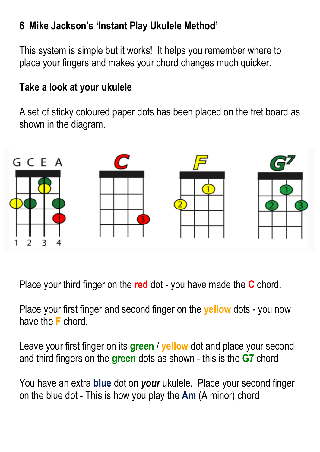#### **6 Mike Jackson's 'Instant Play Ukulele Method'**

This system is simple but it works! It helps you remember where to place your fingers and makes your chord changes much quicker.

#### **Take a look at your ukulele**

A set of sticky coloured paper dots has been placed on the fret board as shown in the diagram.



Place your third finger on the **red** dot - you have made the **C** chord.

Place your first finger and second finger on the **yellow** dots - you now have the **F** chord.

Leave your first finger on its **green** / **yellow** dot and place your second and third fingers on the **green** dots as shown - this is the **G7** chord

You have an extra **blue** dot on *your* ukulele. Place your second finger on the blue dot - This is how you play the **Am** (A minor) chord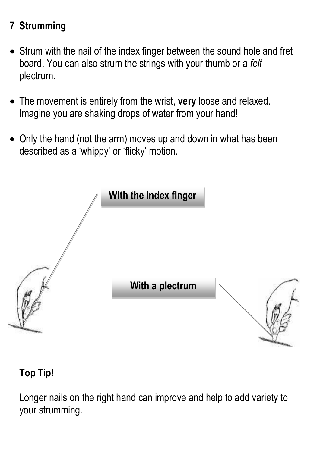# **7 Strumming**

- Strum with the nail of the index finger between the sound hole and fret board. You can also strum the strings with your thumb or a *felt* plectrum.
- The movement is entirely from the wrist, **very** loose and relaxed. Imagine you are shaking drops of water from your hand!
- Only the hand (not the arm) moves up and down in what has been described as a 'whippy' or 'flicky' motion.



# **Top Tip!**

Longer nails on the right hand can improve and help to add variety to your strumming.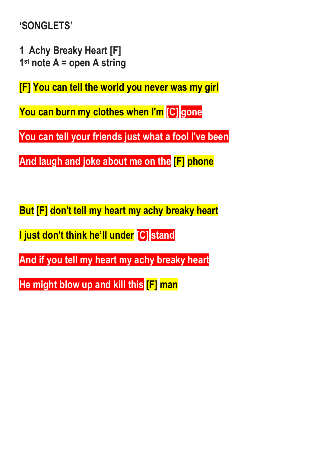**'SONGLETS'**

**1 Achy Breaky Heart [F] 1 st note A = open A string**

**[F] You can tell the world you never was my girl**

**You can burn my clothes when I'm [C] gone**

**You can tell your friends just what a fool I've been**

**And laugh and joke about me on the [F] phone**

**But [F] don't tell my heart my achy breaky heart**

**I just don't think he'll under [C] stand**

**And if you tell my heart my achy breaky heart**

**He might blow up and kill this [F] man**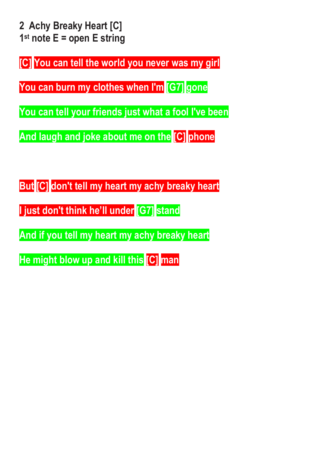**2 Achy Breaky Heart [C] 1 st note E = open E string**

**[C] You can tell the world you never was my girl**

**You can burn my clothes when I'm [G7] gone**

**You can tell your friends just what a fool I've been**

**And laugh and joke about me on the [C] phone**

**But [C] don't tell my heart my achy breaky heart**

**I just don't think he'll under [G7] stand**

**And if you tell my heart my achy breaky heart**

**He might blow up and kill this [C] man**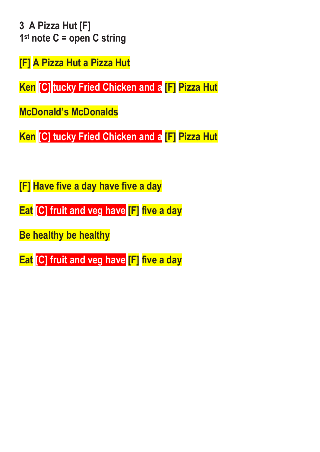**3 A Pizza Hut [F] 1 st note C = open C string**

**[F] A Pizza Hut a Pizza Hut**

**Ken [C] tucky Fried Chicken and a [F] Pizza Hut**

**McDonald's McDonalds**

**Ken [C] tucky Fried Chicken and a [F] Pizza Hut**

**[F] Have five a day have five a day**

**Eat [C] fruit and veg have [F] five a day**

**Be healthy be healthy**

**Eat [C] fruit and veg have [F] five a day**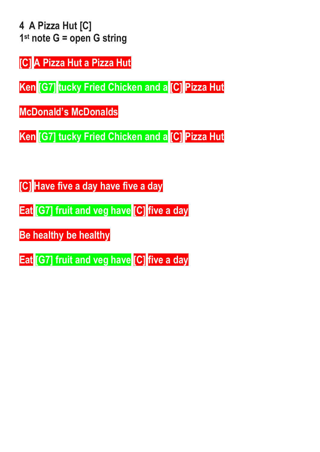**4 A Pizza Hut [C] 1 st note G = open G string**

**[C] A Pizza Hut a Pizza Hut**

**Ken [G7] tucky Fried Chicken and a [C] Pizza Hut**

**McDonald's McDonalds**

**Ken [G7] tucky Fried Chicken and a [C] Pizza Hut**

**[C] Have five a day have five a day**

**Eat [G7] fruit and veg have [C] five a day**

**Be healthy be healthy** 

**Eat [G7] fruit and veg have [C] five a day**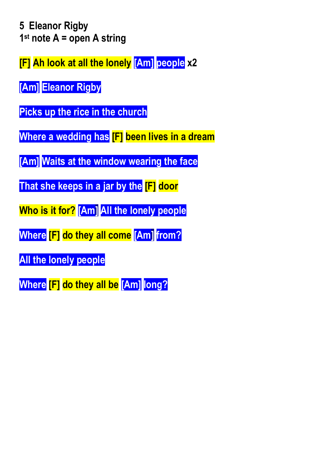**5 Eleanor Rigby 1 st note A = open A string**

**[F] Ah look at all the lonely [Am] people x2**

**[Am] Eleanor Rigby** 

**Picks up the rice in the church** 

**Where a wedding has [F] been lives in a dream**

**[Am] Waits at the window wearing the face** 

**That she keeps in a jar by the [F] door**

**Who is it for? [Am] All the lonely people**

**Where [F] do they all come [Am] from?**

**All the lonely people**

**Where [F] do they all be [Am] long?**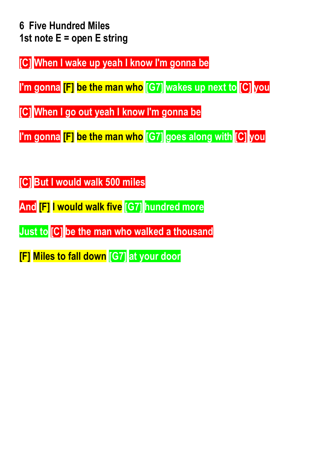**6 Five Hundred Miles 1st note E = open E string**

**[C] When I wake up yeah I know I'm gonna be**

**I'm gonna [F] be the man who [G7] wakes up next to [C] you**

**[C] When I go out yeah I know I'm gonna be**

**I'm gonna [F] be the man who [G7] goes along with [C] you**

**[C] But I would walk 500 miles** 

**And [F] I would walk five [G7] hundred more**

**Just to [C] be the man who walked a thousand**

**[F] Miles to fall down [G7] at your door**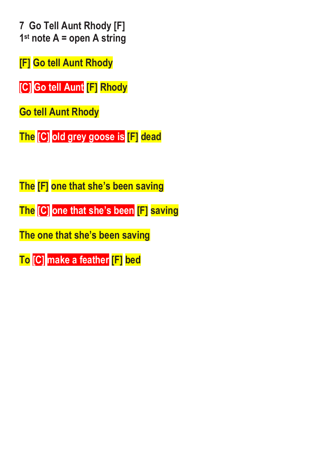**7 Go Tell Aunt Rhody [F] 1 st note A = open A string**

**[F] Go tell Aunt Rhody**

**[C] Go tell Aunt [F] Rhody**

**Go tell Aunt Rhody**

**The [C] old grey goose is [F] dead**

**The [F] one that she's been saving**

**The [C] one that she's been [F] saving**

**The one that she's been saving**

**To [C] make a feather [F] bed**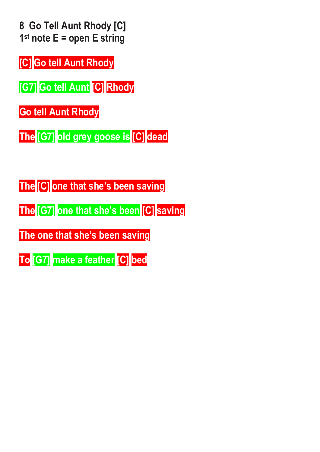**8 Go Tell Aunt Rhody [C] 1 st note E = open E string**

**[C] Go tell Aunt Rhody**

**[G7] Go tell Aunt [C] Rhody**

**Go tell Aunt Rhody**

**The [G7] old grey goose is [C] dead**

**The [C] one that she's been saving**

**The [G7] one that she's been [C] saving**

**The one that she's been saving**

**To [G7] make a feather [C] bed**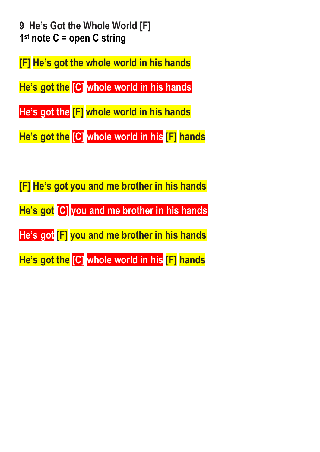**9 He's Got the Whole World [F] 1 st note C = open C string**

**[F] He's got the whole world in his hands**

**He's got the [C] whole world in his hands**

**He's got the [F] whole world in his hands**

**He's got the [C] whole world in his [F] hands**

**[F] He's got you and me brother in his hands He's got [C] you and me brother in his hands He's got [F] you and me brother in his hands He's got the [C] whole world in his [F] hands**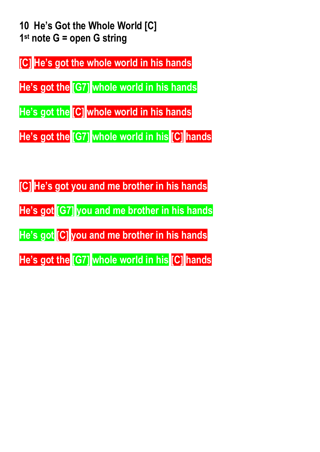**10 He's Got the Whole World [C] 1 st note G = open G string**

**[C] He's got the whole world in his hands**

**He's got the [G7] whole world in his hands** 

**He's got the [C] whole world in his hands**

**He's got the [G7] whole world in his [C] hands**

**[C] He's got you and me brother in his hands**

**He's got [G7] you and me brother in his hands**

**He's got [C] you and me brother in his hands** 

**He's got the [G7] whole world in his [C] hands**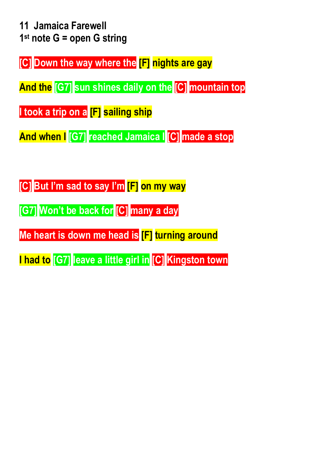**11 Jamaica Farewell 1 st note G = open G string**

**[C] Down the way where the [F] nights are gay**

**And the [G7] sun shines daily on the [C] mountain top**

**I took a trip on a [F] sailing ship**

**And when I [G7] reached Jamaica I [C] made a stop**

**[C] But I'm sad to say I'm [F] on my way**

**[G7] Won't be back for [C] many a day**

**Me heart is down me head is [F] turning around**

**I had to [G7] leave a little girl in [C] Kingston town**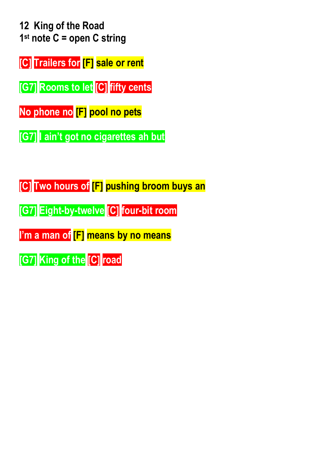**12 King of the Road 1 st note C = open C string**

**[C] Trailers for [F] sale or rent**

**[G7] Rooms to let [C] fifty cents**

**No phone no [F] pool no pets**

**[G7] I ain't got no cigarettes ah but**

**[C] Two hours of [F] pushing broom buys an**

**[G7] Eight-by-twelve [C] four-bit room** 

**I'm a man of [F] means by no means**

**[G7] King of the [C] road**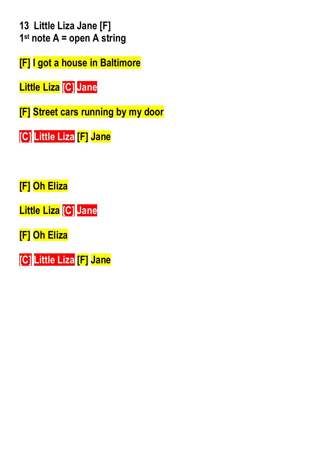**13 Little Liza Jane [F] 1 st note A = open A string**

**[F] I got a house in Baltimore**

**Little Liza [C] Jane**

**[F] Street cars running by my door**

**[C] Little Liza [F] Jane**

**[F] Oh Eliza**

**Little Liza [C] Jane**

**[F] Oh Eliza**

**[C] Little Liza [F] Jane**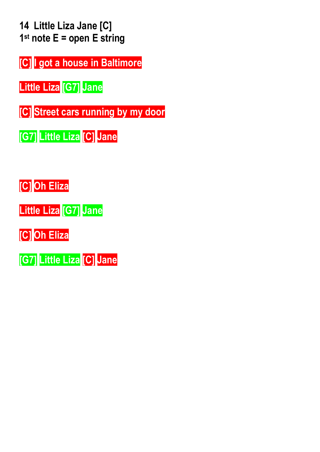**14 Little Liza Jane [C] 1 st note E = open E string**

**[C] I got a house in Baltimore**

**Little Liza [G7] Jane**

**[C] Street cars running by my door**

**[G7] Little Liza [C] Jane**

**[C] Oh Eliza**

**Little Liza [G7] Jane**

**[C] Oh Eliza**

**[G7] Little Liza [C] Jane**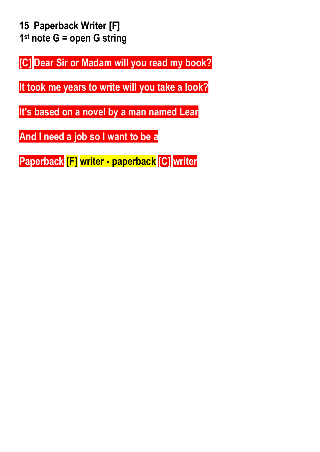**15 Paperback Writer [F] 1 st note G = open G string**

**[C] Dear Sir or Madam will you read my book?**

**It took me years to write will you take a look?**

**It's based on a novel by a man named Lear**

**And I need a job so I want to be a** 

**Paperback [F] writer - paperback [C] writer**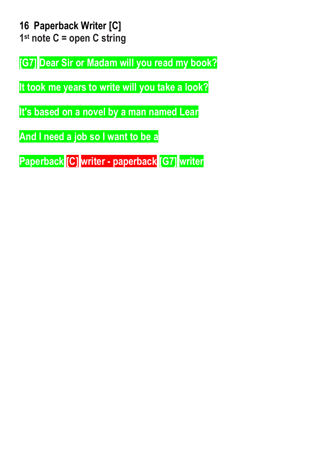**16 Paperback Writer [C] 1 st note C = open C string**

**[G7] Dear Sir or Madam will you read my book?**

**It took me years to write will you take a look?**

**It's based on a novel by a man named Lear**

**And I need a job so I want to be a** 

**Paperback [C] writer - paperback [G7] writer**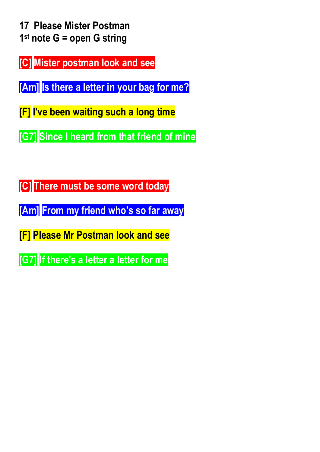**17 Please Mister Postman 1 st note G = open G string**

**[C] Mister postman look and see**

**[Am] Is there a letter in your bag for me?**

**[F] I've been waiting such a long time**

**[G7] Since I heard from that friend of mine**

**[C] There must be some word today**

**[Am] From my friend who's so far away**

**[F] Please Mr Postman look and see**

**[G7] If there's a letter a letter for me**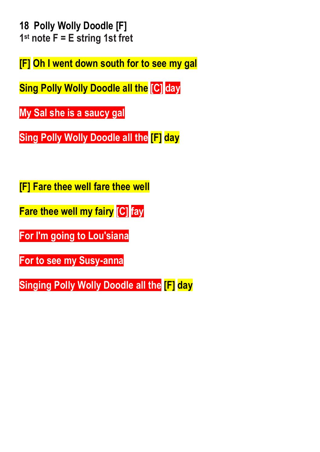**18 Polly Wolly Doodle [F] 1 st note F = E string 1st fret**

**[F] Oh I went down south for to see my gal**

**Sing Polly Wolly Doodle all the [C] day**

**My Sal she is a saucy gal**

**Sing Polly Wolly Doodle all the [F] day**

**[F] Fare thee well fare thee well**

**Fare thee well my fairy [C] fay**

**For I'm going to Lou'siana**

**For to see my Susy-anna**

**Singing Polly Wolly Doodle all the [F] day**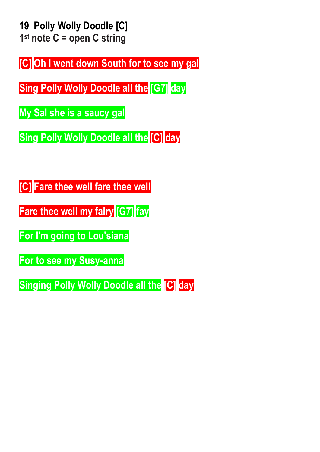**19 Polly Wolly Doodle [C] 1 st note C = open C string**

**[C] Oh I went down South for to see my gal**

**Sing Polly Wolly Doodle all the [G7] day**

**My Sal she is a saucy gal**

**Sing Polly Wolly Doodle all the [C] day**

**[C] Fare thee well fare thee well**

**Fare thee well my fairy [G7] fay**

**For I'm going to Lou'siana**

**For to see my Susy-anna**

**Singing Polly Wolly Doodle all the [C] day**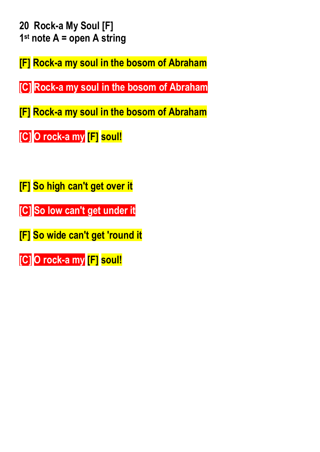**20 Rock-a My Soul [F] 1 st note A = open A string**

**[F] Rock-a my soul in the bosom of Abraham**

**[C] Rock-a my soul in the bosom of Abraham**

**[F] Rock-a my soul in the bosom of Abraham**

**[C] O rock-a my [F] soul!**

**[F] So high can't get over it**

**[C] So low can't get under it**

**[F] So wide can't get 'round it**

**[C] O rock-a my [F] soul!**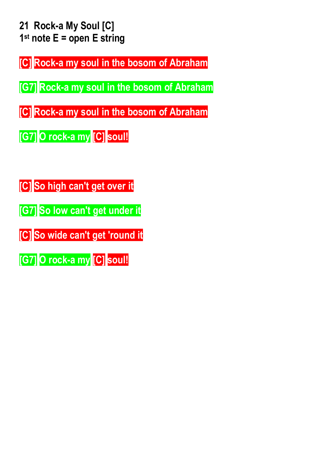**21 Rock-a My Soul [C] 1 st note E = open E string**

**[C] Rock-a my soul in the bosom of Abraham**

**[G7] Rock-a my soul in the bosom of Abraham**

**[C] Rock-a my soul in the bosom of Abraham**

**[G7] O rock-a my [C] soul!**

**[C] So high can't get over it**

**[G7] So low can't get under it**

**[C] So wide can't get 'round it**

**[G7] O rock-a my [C] soul!**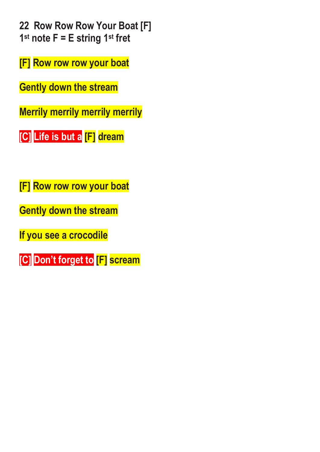**22 Row Row Row Your Boat [F] 1 st note F = E string 1st fret**

**[F] Row row row your boat**

**Gently down the stream**

**Merrily merrily merrily merrily**

**[C] Life is but a [F] dream**

**[F] Row row row your boat**

**Gently down the stream**

**If you see a crocodile**

**[C] Don't forget to [F] scream**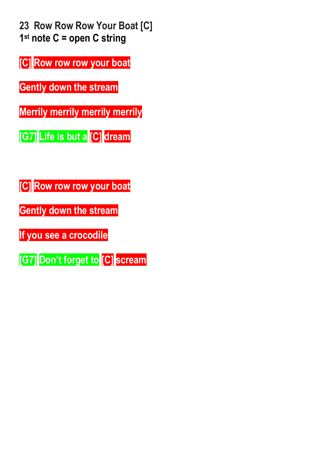**23 Row Row Row Your Boat [C] 1 st note C = open C string**

**[C] Row row row your boat**

**Gently down the stream**

**Merrily merrily merrily merrily**

**[G7] Life is but a [C] dream**

**[C] Row row row your boat**

**Gently down the stream**

**If you see a crocodile**

**[G7] Don't forget to [C] scream**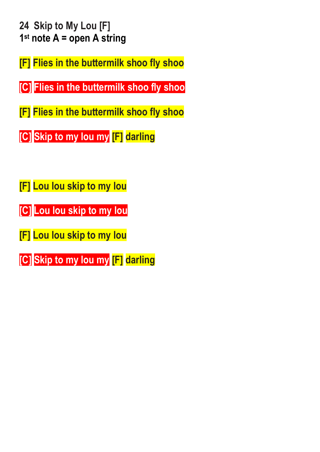**24 Skip to My Lou [F] 1 st note A = open A string**

**[F] Flies in the buttermilk shoo fly shoo**

**[C] Flies in the buttermilk shoo fly shoo**

**[F] Flies in the buttermilk shoo fly shoo**

**[C] Skip to my lou my [F] darling**

**[F] Lou lou skip to my lou**

**[C] Lou lou skip to my lou**

**[F] Lou lou skip to my lou**

**[C] Skip to my lou my [F] darling**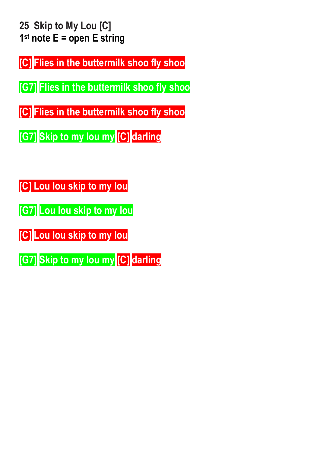**25 Skip to My Lou [C] 1 st note E = open E string**

**[C] Flies in the buttermilk shoo fly shoo**

**[G7] Flies in the buttermilk shoo fly shoo**

**[C] Flies in the buttermilk shoo fly shoo**

**[G7] Skip to my lou my [C] darling** 

**[C] Lou lou skip to my lou**

**[G7] Lou lou skip to my lou**

**[C] Lou lou skip to my lou**

**[G7] Skip to my lou my [C] darling**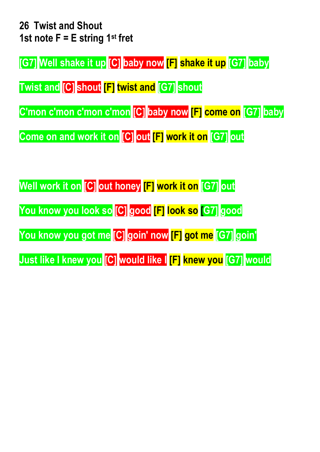**26 Twist and Shout 1st note F = E string 1st fret**

**[G7] Well shake it up [C] baby now [F] shake it up [G7] baby**

**Twist and [C] shout [F] twist and [G7] shout**

**C'mon c'mon c'mon c'mon [C] baby now [F] come on [G7] baby**

**Come on and work it on [C] out [F] work it on [G7] out**

**Well work it on [C] out honey [F] work it on [G7] out**

**You know you look so [C] good [F] look so [G7] good**

**You know you got me [C] goin' now [F] got me [G7] goin'**

**Just like I knew you [C] would like I [F] knew you [G7] would**